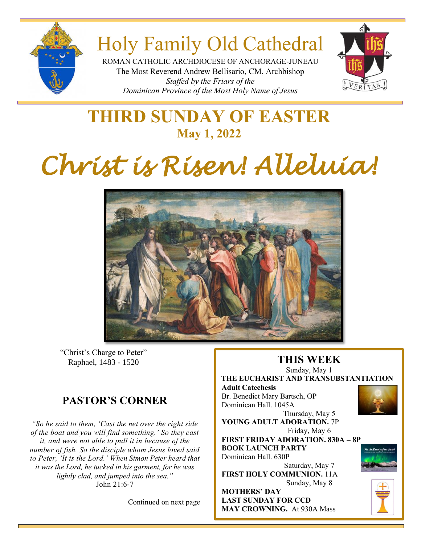

## Holy Family Old Cathedral

ROMAN CATHOLIC ARCHDIOCESE OF ANCHORAGE-JUNEAU The Most Reverend Andrew Bellisario, CM, Archbishop *Staffed by the Friars of the Dominican Province of the Most Holy Name of Jesus*



## **THIRD SUNDAY OF EASTER May 1, 2022**

# *Christ is Risen! Alleluia!*



"Christ's Charge to Peter" Raphael, 1483 - 1520

### **PASTOR'S CORNER**

*"So he said to them, 'Cast the net over the right side of the boat and you will find something.' So they cast it, and were not able to pull it in because of the number of fish. So the disciple whom Jesus loved said to Peter, 'It is the Lord.' When Simon Peter heard that it was the Lord, he tucked in his garment, for he was lightly clad, and jumped into the sea."* John 21:6-7

Continued on next page

## **THIS WEEK**

Sunday, May 1 **THE EUCHARIST AND TRANSUBSTANTIATION Adult Catechesis** Br. Benedict Mary Bartsch, OP

**Parameter 24, 2021**<br>Dominican Hall. 1045A Thursday, May 5

**YOUNG ADULT ADORATION.** 7P Friday, May 6

**FIRST FRIDAY ADORATION. 830A – 8P BOOK LAUNCH PARTY** Dominican Hall. 630P

Saturday, May 7 **FIRST HOLY COMMUNION.** 11A Sunday, May 8

**MOTHERS' DAY LAST SUNDAY FOR CCD MAY CROWNING.** At 930A Mass





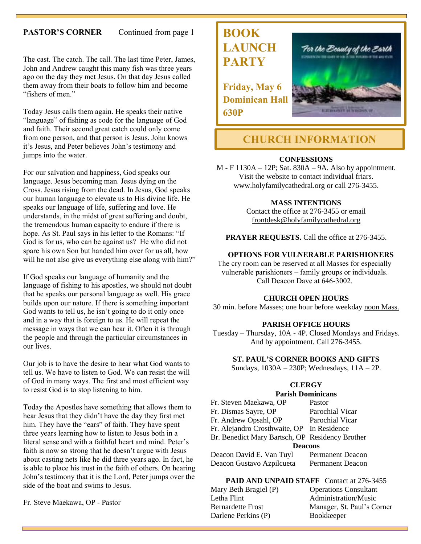#### **PASTOR'S CORNER** Continued from page 1

The cast. The catch. The call. The last time Peter, James, John and Andrew caught this many fish was three years ago on the day they met Jesus. On that day Jesus called them away from their boats to follow him and become "fishers of men."

Today Jesus calls them again. He speaks their native "language" of fishing as code for the language of God and faith. Their second great catch could only come from one person, and that person is Jesus. John knows it's Jesus, and Peter believes John's testimony and jumps into the water.

For our salvation and happiness, God speaks our language. Jesus becoming man. Jesus dying on the Cross. Jesus rising from the dead. In Jesus, God speaks our human language to elevate us to His divine life. He speaks our language of life, suffering and love. He understands, in the midst of great suffering and doubt, the tremendous human capacity to endure if there is hope. As St. Paul says in his letter to the Romans: "If God is for us, who can be against us? He who did not spare his own Son but handed him over for us all, how will he not also give us everything else along with him?"

If God speaks our language of humanity and the language of fishing to his apostles, we should not doubt that he speaks our personal language as well. His grace builds upon our nature. If there is something important God wants to tell us, he isn't going to do it only once and in a way that is foreign to us. He will repeat the message in ways that we can hear it. Often it is through the people and through the particular circumstances in our lives.

Our job is to have the desire to hear what God wants to tell us. We have to listen to God. We can resist the will of God in many ways. The first and most efficient way to resist God is to stop listening to him.

Today the Apostles have something that allows them to hear Jesus that they didn't have the day they first met him. They have the "ears" of faith. They have spent three years learning how to listen to Jesus both in a literal sense and with a faithful heart and mind. Peter's faith is now so strong that he doesn't argue with Jesus about casting nets like he did three years ago. In fact, he is able to place his trust in the faith of others. On hearing John's testimony that it is the Lord, Peter jumps over the side of the boat and swims to Jesus.

Fr. Steve Maekawa, OP - Pastor

## **BOOK LAUNCH PARTY**

**Friday, May 6 Dominican Hall 630P**



#### **CHURCH INFORMATION**

#### **CONFESSIONS**

M - F 1130A – 12P; Sat. 830A – 9A. Also by appointment. Visit the website to contact individual friars. [www.holyfamilycathedral.org](http://www.holyfamilycathedral.org/) or call 276-3455.

#### **MASS INTENTIONS**

Contact the office at 276-3455 or email [frontdesk@holyfamilycathedral.org](mailto:frontdesk@holyfamilycathedral.org)

**PRAYER REQUESTS.** Call the office at 276-3455.

#### **OPTIONS FOR VULNERABLE PARISHIONERS**

The cry room can be reserved at all Masses for especially vulnerable parishioners – family groups or individuals. Call Deacon Dave at 646-3002.

#### **CHURCH OPEN HOURS**

30 min. before Masses; one hour before weekday noon Mass.

#### **PARISH OFFICE HOURS**

Tuesday – Thursday, 10A - 4P. Closed Mondays and Fridays. And by appointment. Call 276-3455.

#### **ST. PAUL'S CORNER BOOKS AND GIFTS**

Sundays, 1030A – 230P; Wednesdays, 11A – 2P.

#### **CLERGY**

#### **Parish Dominicans**

| Fr. Steven Maekawa, OP                          | Pastor                  |  |
|-------------------------------------------------|-------------------------|--|
| Fr. Dismas Sayre, OP                            | Parochial Vicar         |  |
| Fr. Andrew Opsahl, OP                           | Parochial Vicar         |  |
| Fr. Alejandro Crosthwaite, OP In Residence      |                         |  |
| Br. Benedict Mary Bartsch, OP Residency Brother |                         |  |
| <b>Deacons</b>                                  |                         |  |
| Deacon David E. Van Tuyl                        | <b>Permanent Deacon</b> |  |
| <u>. a</u>                                      |                         |  |

Deacon Gustavo Azpilcueta Permanent Deacon

**PAID AND UNPAID STAFF** Contact at 276-3455 Mary Beth Bragiel (P)

| $\mu$ a y Dull Diagiul (1) | Operations Consultant      |
|----------------------------|----------------------------|
| Letha Flint                | Administration/Music       |
| <b>Bernardette Frost</b>   | Manager, St. Paul's Corner |
| Darlene Perkins (P)        | <b>Bookkeeper</b>          |
|                            |                            |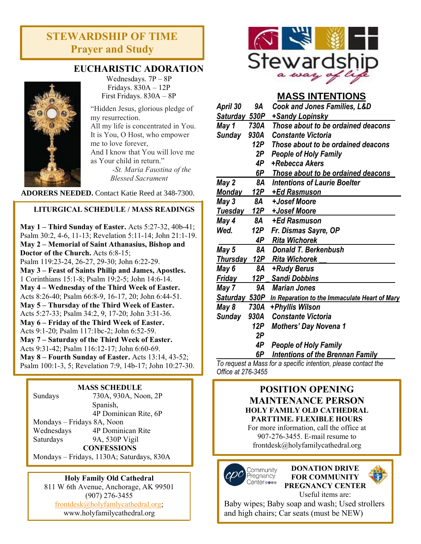#### **STEWARDSHIP OF TIME Prayer and Study**



#### **EUCHARISTIC ADORATION**

Wednesdays. 7P – 8P Fridays. 830A – 12P First Fridays. 830A – 8P

"Hidden Jesus, glorious pledge of my resurrection. All my life is concentrated in You. It is You, O Host, who empower me to love forever, And I know that You will love me as Your child in return."

> *-St. Maria Faustina of the Blessed Sacrament*

**ADORERS NEEDED.** Contact Katie Reed at 348-7300.

#### **LITURGICAL SCHEDULE / MASS READINGS**

**May 1 – Third Sunday of Easter.** Acts 5:27-32, 40b-41; Psalm 30:2, 4-6, 11-13; Revelation 5:11-14; John 21:1-19. **May 2 – Memorial of Saint Athanasius, Bishop and Doctor of the Church.** Acts 6:8-15; Psalm 119:23-24, 26-27, 29-30; John 6:22-29. **May 3 – Feast of Saints Philip and James, Apostles.** 1 Corinthians 15:1-8; Psalm 19:2-5; John 14:6-14. **May 4 – Wednesday of the Third Week of Easter.**  Acts 8:26-40; Psalm 66:8-9, 16-17, 20; John 6:44-51. **May 5 – Thursday of the Third Week of Easter.** Acts 5:27-33; Psalm 34:2, 9, 17-20; John 3:31-36. **May 6 – Friday of the Third Week of Easter.** Acts 9:1-20; Psalm 117:1bc-2; John 6:52-59. **May 7 – Saturday of the Third Week of Easter.** Acts 9:31-42; Psalm 116:12-17; John 6:60-69. **May 8 – Fourth Sunday of Easter.** Acts 13:14, 43-52; Psalm 100:1-3, 5; Revelation 7:9, 14b-17; John 10:27-30.

#### **MASS SCHEDULE**

| Sundays                    | 730A, 930A, Noon, 2P  |  |
|----------------------------|-----------------------|--|
|                            | Spanish,              |  |
|                            | 4P Dominican Rite, 6P |  |
| Mondays – Fridays 8A, Noon |                       |  |
| Wednesdays                 | 4P Dominican Rite     |  |
| Saturdays                  | 9A, 530P Vigil        |  |
| <b>CONFESSIONS</b>         |                       |  |
|                            |                       |  |

Mondays – Fridays, 1130A; Saturdays, 830A

#### **Holy Family Old Cathedral**

811 W 6th Avenue, Anchorage, AK 99501 (907) 276-3455 [frontdesk@holyfamlycathedral.org;](mailto:frontdesk@holyfamlycathedral.org) [www.holyfamilycathedral.org](http://www.holyfamilycathedral.org/)



#### **MASS INTENTIONS**

| April 30           | 9Α   | <b>Cook and Jones Families, L&amp;D</b>                        |
|--------------------|------|----------------------------------------------------------------|
| Saturday 530P      |      | +Sandy Lopinsky                                                |
| May 1              | 730A | Those about to be ordained deacons                             |
| Sunday             | 930A | <b>Constante Victoria</b>                                      |
|                    | 12P  | Those about to be ordained deacons                             |
|                    | 2P   | <b>People of Holy Family</b>                                   |
|                    | 4P   | +Rebecca Akers                                                 |
|                    | 6P   | <b>Those about to be ordained deacons</b>                      |
| May 2              | 8A   | <b>Intentions of Laurie Boelter</b>                            |
| <u>Monday</u>      | 12P  | +Ed Rasmuson                                                   |
| May 3              | 8A   | +Josef Moore                                                   |
| <u>Tuesday</u>     | 12P  | +Josef Moore                                                   |
| May 4              | 8A   | +Ed Rasmuson                                                   |
| Wed.               | 12P  | Fr. Dismas Sayre, OP                                           |
|                    | 4P   | <b>Rita Wichorek</b>                                           |
| May 5              | 8Α   | Donald T. Berkenbush                                           |
| <b>Thursday</b>    |      | 12P Rita Wichorek                                              |
| May 6              | 8A   | +Rudy Berus                                                    |
| <b>Friday</b>      | 12P  | <b>Sandi Dobbins</b>                                           |
| May 7              | 9А   | <b>Marian Jones</b>                                            |
| Saturday 530P      |      | In Reparation to the Immaculate Heart of Mary                  |
| May 8              | 730A | +Phyllis Wilson                                                |
| <b>Sunday</b>      | 930A | <b>Constante Victoria</b>                                      |
|                    | 12P  | <b>Mothers' Day Novena 1</b>                                   |
|                    | 2Р   |                                                                |
|                    | 4P   | <b>People of Holy Family</b>                                   |
|                    | 6P   | <b>Intentions of the Brennan Family</b>                        |
|                    |      | To request a Mass for a specific intention, please contact the |
| Office at 276-3455 |      |                                                                |

#### **POSITION OPENING MAINTENANCE PERSON HOLY FAMILY OLD CATHEDRAL PARTTIME. FLEXIBLE HOURS**

For more information, call the office at 907-276-3455. E-mail resume to frontdesk@holyfamilycathedral.org





Baby wipes; Baby soap and wash; Used strollers and high chairs; Car seats (must be NEW)